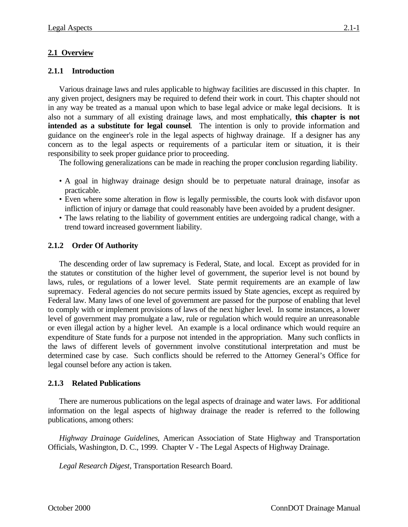## **2.1 Overview**

## **2.1.1 Introduction**

Various drainage laws and rules applicable to highway facilities are discussed in this chapter. In any given project, designers may be required to defend their work in court. This chapter should not in any way be treated as a manual upon which to base legal advice or make legal decisions. It is also not a summary of all existing drainage laws, and most emphatically, **this chapter is not intended as a substitute for legal counsel**. The intention is only to provide information and guidance on the engineer's role in the legal aspects of highway drainage. If a designer has any concern as to the legal aspects or requirements of a particular item or situation, it is their responsibility to seek proper guidance prior to proceeding.

The following generalizations can be made in reaching the proper conclusion regarding liability.

- A goal in highway drainage design should be to perpetuate natural drainage, insofar as practicable.
- Even where some alteration in flow is legally permissible, the courts look with disfavor upon infliction of injury or damage that could reasonably have been avoided by a prudent designer.
- The laws relating to the liability of government entities are undergoing radical change, with a trend toward increased government liability.

## **2.1.2 Order Of Authority**

The descending order of law supremacy is Federal, State, and local. Except as provided for in the statutes or constitution of the higher level of government, the superior level is not bound by laws, rules, or regulations of a lower level. State permit requirements are an example of law supremacy. Federal agencies do not secure permits issued by State agencies, except as required by Federal law. Many laws of one level of government are passed for the purpose of enabling that level to comply with or implement provisions of laws of the next higher level. In some instances, a lower level of government may promulgate a law, rule or regulation which would require an unreasonable or even illegal action by a higher level. An example is a local ordinance which would require an expenditure of State funds for a purpose not intended in the appropriation. Many such conflicts in the laws of different levels of government involve constitutional interpretation and must be determined case by case. Such conflicts should be referred to the Attorney General's Office for legal counsel before any action is taken.

## **2.1.3 Related Publications**

There are numerous publications on the legal aspects of drainage and water laws. For additional information on the legal aspects of highway drainage the reader is referred to the following publications, among others:

*Highway Drainage Guidelines*, American Association of State Highway and Transportation Officials, Washington, D. C., 1999. Chapter V - The Legal Aspects of Highway Drainage.

*Legal Research Digest*, Transportation Research Board.